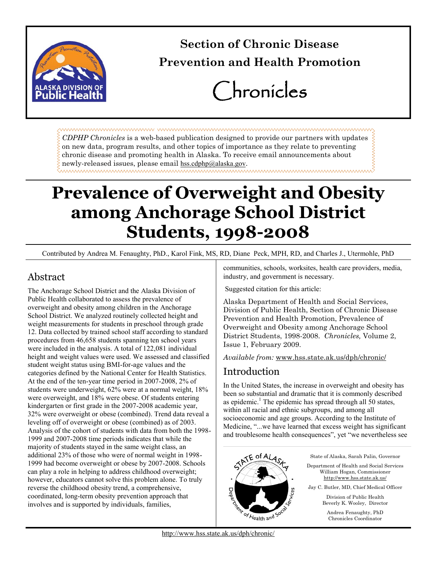

# **Section of Chronic Disease Prevention and Health Promotion**

# Chronicles

*CDPHP Chronicles* is a web-based publication designed to provide our partners with updates on new data, program results, and other topics of importance as they relate to preventing chronic disease and promoting health in Alaska. To receive email announcements about newly-released issues, please email [hss.cdphp@alaska.gov](mailto:cdphp@health.state.ak.us?subject=Contact%20for%20CDPHP%20site).

# **Prevalence of Overweight and Obesity among Anchorage School District Students, 1998-2008**

Contributed by Andrea M. Fenaughty, PhD., Karol Fink, MS, RD, Diane Peck, MPH, RD, and Charles J., Utermohle, PhD

# Abstract

The Anchorage School District and the Alaska Division of Public Health collaborated to assess the prevalence of overweight and obesity among children in the Anchorage School District. We analyzed routinely collected height and weight measurements for students in preschool through grade 12. Data collected by trained school staff according to standard procedures from 46,658 students spanning ten school years were included in the analysis. A total of 122,081 individual height and weight values were used. We assessed and classified student weight status using BMI-for-age values and the categories defined by the National Center for Health Statistics. At the end of the ten-year time period in 2007-2008, 2% of students were underweight, 62% were at a normal weight, 18% were overweight, and 18% were obese. Of students entering kindergarten or first grade in the 2007-2008 academic year, 32% were overweight or obese (combined). Trend data reveal a leveling off of overweight or obese (combined) as of 2003. Analysis of the cohort of students with data from both the 1998- 1999 and 2007-2008 time periods indicates that while the majority of students stayed in the same weight class, an additional 23% of those who were of normal weight in 1998- 1999 had become overweight or obese by 2007-2008. Schools can play a role in helping to address childhood overweight; however, educators cannot solve this problem alone. To truly reverse the childhood obesity trend, a comprehensive, coordinated, long-term obesity prevention approach that involves and is supported by individuals, families,

communities, schools, worksites, health care providers, media, industry, and government is necessary.

Suggested citation for this article:

Alaska Department of Health and Social Services, Division of Public Health, Section of Chronic Disease Prevention and Health Promotion, Prevalence of Overweight and Obesity among Anchorage School District Students, 1998-2008. *Chronicles,* Volume 2, Issue 1, February 2009.

*Available from:* [www.hss.state.ak.us/dph/chronic/](http://www.hss.state.ak.us/dph/chronic/default.htm)

# Introduction

In the United States, the increase in overweight and obesity has been so substantial and dramatic that it is commonly described as epidemic.<sup>1</sup> The epidemic has spread through all 50 states, within all racial and ethnic subgroups, and among all socioeconomic and age groups. According to the Institute of Medicine, "...we have learned that excess weight has significant and troublesome health consequences", yet "we nevertheless see

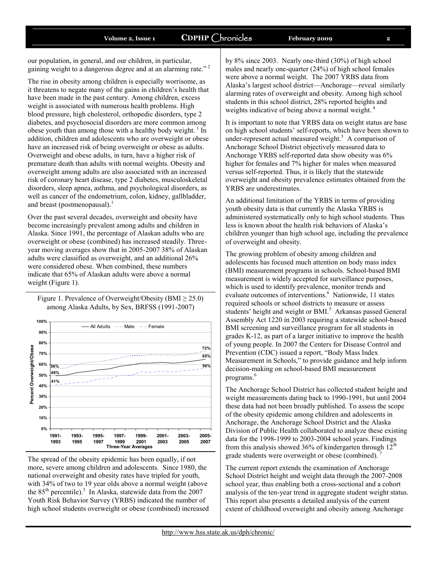our population, in general, and our children, in particular, gaining weight to a dangerous degree and at an alarming rate."<sup>2</sup>

The rise in obesity among children is especially worrisome, as it threatens to negate many of the gains in children's health that have been made in the past century. Among children, excess weight is associated with numerous health problems. High blood pressure, high cholesterol, orthopedic disorders, type 2 diabetes, and psychosocial disorders are more common among obese youth than among those with a healthy body weight.<sup>1</sup> In addition, children and adolescents who are overweight or obese have an increased risk of being overweight or obese as adults. Overweight and obese adults, in turn, have a higher risk of premature death than adults with normal weights. Obesity and overweight among adults are also associated with an increased risk of coronary heart disease, type 2 diabetes, musculoskeletal disorders, sleep apnea, asthma, and psychological disorders, as well as cancer of the endometrium, colon, kidney, gallbladder, and breast (postmenopausal). $<sup>1</sup>$ </sup>

Over the past several decades, overweight and obesity have become increasingly prevalent among adults and children in Alaska. Since 1991, the percentage of Alaskan adults who are overweight or obese (combined) has increased steadily. Threeyear moving averages show that in 2005-2007 38% of Alaskan adults were classified as overweight, and an additional 26% were considered obese. When combined, these numbers indicate that 65% of Alaskan adults were above a normal weight (Figure 1).





The spread of the obesity epidemic has been equally, if not more, severe among children and adolescents. Since 1980, the national overweight and obesity rates have tripled for youth, with 34% of two to 19 year olds above a normal weight (above the  $85<sup>th</sup>$  percentile).<sup>3</sup> In Alaska, statewide data from the 2007 Youth Risk Behavior Survey (YRBS) indicated the number of high school students overweight or obese (combined) increased by 8% since 2003. Nearly one-third (30%) of high school males and nearly one-quarter (24%) of high school females were above a normal weight. The 2007 YRBS data from Alaska's largest school district—Anchorage—reveal similarly alarming rates of overweight and obesity. Among high school students in this school district, 28% reported heights and weights indicative of being above a normal weight.<sup>4</sup>

It is important to note that YRBS data on weight status are base on high school students' self-reports, which have been shown to under-represent actual measured weight. $5$  A comparison of Anchorage School District objectively measured data to Anchorage YRBS self-reported data show obesity was 6% higher for females and 7% higher for males when measured versus self-reported. Thus, it is likely that the statewide overweight and obesity prevalence estimates obtained from the YRBS are underestimates.

An additional limitation of the YRBS in terms of providing youth obesity data is that currently the Alaska YRBS is administered systematically only to high school students. Thus less is known about the health risk behaviors of Alaska's children younger than high school age, including the prevalence of overweight and obesity.

The growing problem of obesity among children and adolescents has focused much attention on body mass index (BMI) measurement programs in schools. School-based BMI measurement is widely accepted for surveillance purposes, which is used to identify prevalence, monitor trends and evaluate outcomes of interventions.<sup>6</sup> Nationwide, 11 states required schools or school districts to measure or assess students' height and weight or BMI.<sup>5</sup> Arkansas passed General Assembly Act 1220 in 2003 requiring a statewide school-based BMI screening and surveillance program for all students in grades K-12, as part of a larger initiative to improve the health of young people. In 2007 the Centers for Disease Control and Prevention (CDC) issued a report, "Body Mass Index Measurement in Schools," to provide guidance and help inform decision-making on school-based BMI measurement programs.<sup>6</sup>

The Anchorage School District has collected student height and weight measurements dating back to 1990-1991, but until 2004 these data had not been broadly published. To assess the scope of the obesity epidemic among children and adolescents in Anchorage, the Anchorage School District and the Alaska Division of Public Health collaborated to analyze these existing data for the 1998-1999 to 2003-2004 school years. Findings from this analysis showed 36% of kindergarten through  $12<sup>th</sup>$ grade students were overweight or obese (combined).

The current report extends the examination of Anchorage School District height and weight data through the 2007-2008 school year, thus enabling both a cross-sectional and a cohort analysis of the ten-year trend in aggregate student weight status. This report also presents a detailed analysis of the current extent of childhood overweight and obesity among Anchorage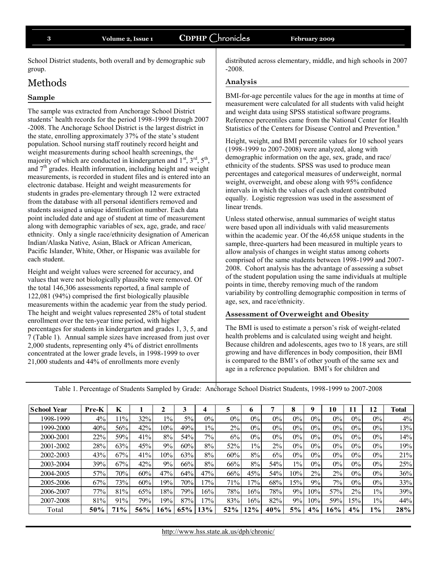School District students, both overall and by demographic sub group.

### Methods

#### **Sample**

The sample was extracted from Anchorage School District students' health records for the period 1998-1999 through 2007 -2008. The Anchorage School District is the largest district in the state, enrolling approximately 37% of the state's student population. School nursing staff routinely record height and weight measurements during school health screenings, the majority of which are conducted in kindergarten and  $1<sup>st</sup>$ ,  $3<sup>rd</sup>$ ,  $5<sup>th</sup>$ , and  $7<sup>th</sup>$  grades. Health information, including height and weight measurements, is recorded in student files and is entered into an electronic database. Height and weight measurements for students in grades pre-elementary through 12 were extracted from the database with all personal identifiers removed and students assigned a unique identification number. Each data point included date and age of student at time of measurement along with demographic variables of sex, age, grade, and race/ ethnicity. Only a single race/ethnicity designation of American Indian/Alaska Native, Asian, Black or African American, Pacific Islander, White, Other, or Hispanic was available for each student.

Height and weight values were screened for accuracy, and values that were not biologically plausible were removed. Of the total 146,306 assessments reported, a final sample of 122,081 (94%) comprised the first biologically plausible measurements within the academic year from the study period. The height and weight values represented 28% of total student enrollment over the ten-year time period, with higher percentages for students in kindergarten and grades 1, 3, 5, and 7 (Table 1). Annual sample sizes have increased from just over 2,000 students, representing only 4% of district enrollments concentrated at the lower grade levels, in 1998-1999 to over 21,000 students and 44% of enrollments more evenly

distributed across elementary, middle, and high schools in 2007 -2008.

#### **Analysis**

BMI-for-age percentile values for the age in months at time of measurement were calculated for all students with valid height and weight data using SPSS statistical software programs. Reference percentiles came from the National Center for Health Statistics of the Centers for Disease Control and Prevention.<sup>8</sup>

Height, weight, and BMI percentile values for 10 school years (1998-1999 to 2007-2008) were analyzed, along with demographic information on the age, sex, grade, and race/ ethnicity of the students. SPSS was used to produce mean percentages and categorical measures of underweight, normal weight, overweight, and obese along with 95% confidence intervals in which the values of each student contributed equally. Logistic regression was used in the assessment of linear trends.

Unless stated otherwise, annual summaries of weight status were based upon all individuals with valid measurements within the academic year. Of the 46,658 unique students in the sample, three-quarters had been measured in multiple years to allow analysis of changes in weight status among cohorts comprised of the same students between 1998-1999 and 2007- 2008. Cohort analysis has the advantage of assessing a subset of the student population using the same individuals at multiple points in time, thereby removing much of the random variability by controlling demographic composition in terms of age, sex, and race/ethnicity.

#### **Assessment of Overweight and Obesity**

The BMI is used to estimate a person's risk of weight-related health problems and is calculated using weight and height. Because children and adolescents, ages two to 18 years, are still growing and have differences in body composition, their BMI is compared to the BMI's of other youth of the same sex and age in a reference population. BMI's for children and

|                                                                                                              |       |     |     |        |     |       | age in a reference population. Divir s for emigren and |       |       |       |       |       |       |       |              |
|--------------------------------------------------------------------------------------------------------------|-------|-----|-----|--------|-----|-------|--------------------------------------------------------|-------|-------|-------|-------|-------|-------|-------|--------------|
| Table 1. Percentage of Students Sampled by Grade: Anchorage School District Students, 1998-1999 to 2007-2008 |       |     |     |        |     |       |                                                        |       |       |       |       |       |       |       |              |
| <b>School Year</b>                                                                                           | Pre-K | K   |     | 2      | 3   | 4     | 5                                                      | 6     | 7     | 8     | 9     | 10    | 11    | 12    | <b>Total</b> |
| 1998-1999                                                                                                    | $4\%$ | 11% | 32% | $1\%$  | 5%  | $0\%$ | 0%                                                     | 0%    | 0%    | $0\%$ | $0\%$ | $0\%$ | $0\%$ | $0\%$ | $4\%$        |
| 1999-2000                                                                                                    | 40%   | 56% | 42% | 10%    | 49% | $1\%$ | 2%                                                     | 0%    | 0%    | $0\%$ | $0\%$ | 0%    | $0\%$ | 0%    | 13%          |
| 2000-2001                                                                                                    | 22%   | 59% | 41% | 8%     | 54% | 7%    | 6%                                                     | $0\%$ | $0\%$ | $0\%$ | 0%    | 0%    | $0\%$ | $0\%$ | 14%          |
| 2001-2002                                                                                                    | 28%   | 63% | 45% | 9%     | 60% | $8\%$ | 52%                                                    | $1\%$ | 2%    | $0\%$ | 0%    | $0\%$ | $0\%$ | $0\%$ | 19%          |
| 2002-2003                                                                                                    | 43%   | 67% | 41% | 10%    | 63% | 8%    | 60%                                                    | 8%    | 6%    | $0\%$ | $0\%$ | 0%    | $0\%$ | $0\%$ | 21%          |
| 2003-2004                                                                                                    | 39%   | 67% | 42% | 9%     | 66% | 8%    | 66%                                                    | 8%    | 54%   | $1\%$ | 0%    | $0\%$ | $0\%$ | $0\%$ | 25%          |
| 2004-2005                                                                                                    | 57%   | 70% | 60% | 47%    | 64% | 47%   | 66%                                                    | 45%   | 54%   | 10%   | 2%    | 2%    | $0\%$ | $0\%$ | 36%          |
| 2005-2006                                                                                                    | 67%   | 73% | 60% | 19%    | 70% | 17%   | 71%                                                    | 17%   | 68%   | 15%   | 9%    | 7%    | $0\%$ | $0\%$ | 33%          |
| 2006-2007                                                                                                    | 77%   | 81% | 65% | 18%    | 79% | 16%   | 78%                                                    | 16%   | 78%   | 9%    | 10%   | 57%   | $2\%$ | $1\%$ | 39%          |
| 2007-2008                                                                                                    | 81%   | 91% | 79% | 19%    | 87% | 17%   | 83%                                                    | 16%   | 82%   | 9%    | 10%   | 59%   | 15%   | $1\%$ | 44%          |
| Total                                                                                                        | 50%   | 71% | 56% | $16\%$ | 65% | 13%   | 52%                                                    | 12%   | 40%   | 5%    | 4%    | 16%   | 4%    | $1\%$ | 28%          |
|                                                                                                              |       |     |     |        |     |       |                                                        |       |       |       |       |       |       |       |              |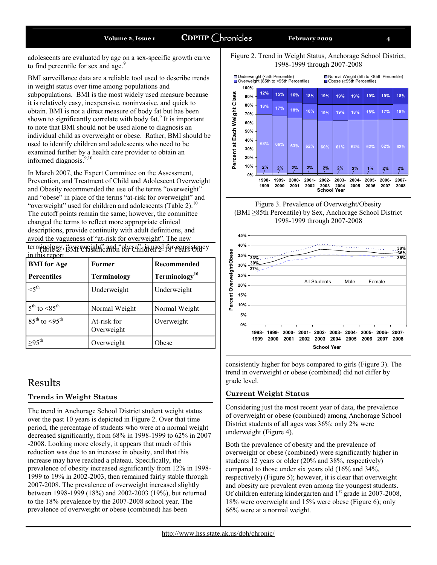adolescents are evaluated by age on a sex-specific growth curve to find percentile for sex and age.<sup>9</sup>

BMI surveillance data are a reliable tool used to describe trends in weight status over time among populations and subpopulations. BMI is the most widely used measure because it is relatively easy, inexpensive, noninvasive, and quick to obtain. BMI is not a direct measure of body fat but has been shown to significantly correlate with body  $fat<sup>9</sup>$  It is important to note that BMI should not be used alone to diagnosis an individual child as overweight or obese. Rather, BMI should be used to identify children and adolescents who need to be examined further by a health care provider to obtain an informed diagnosis.<sup>9,10</sup>

In March 2007, the Expert Committee on the Assessment, Prevention, and Treatment of Child and Adolescent Overweight and Obesity recommended the use of the terms "overweight" and "obese" in place of the terms "at-risk for overweight" and "overweight" used for children and adolescents (Table 2).<sup>10</sup> The cutoff points remain the same; however, the committee changed the terms to reflect more appropriate clinical descriptions, provide continuity with adult definitions, and avoid the vagueness of "at-risk for overweight". The new

terminology, SANF cussification for Enily His used for consistency in this report.

| <b>BMI</b> for Age         | Former                    | Recommended               |  |  |
|----------------------------|---------------------------|---------------------------|--|--|
| <b>Percentiles</b>         | <b>Terminology</b>        | Terminology <sup>10</sup> |  |  |
| $\leq 5^{\text{th}}$       | Underweight               | Underweight               |  |  |
| $5^{th}$ to $\leq 85^{th}$ | Normal Weight             | Normal Weight             |  |  |
| $85^{th}$ to $< 95^{th}$   | At-risk for<br>Overweight | Overweight                |  |  |
| $\geq$ 95 <sup>th</sup>    | Overweight                | Obese                     |  |  |

### Results

#### **Trends in Weight Status**

The trend in Anchorage School District student weight status over the past 10 years is depicted in Figure 2. Over that time period, the percentage of students who were at a normal weight decreased significantly, from 68% in 1998-1999 to 62% in 2007 -2008. Looking more closely, it appears that much of this reduction was due to an increase in obesity, and that this increase may have reached a plateau. Specifically, the prevalence of obesity increased significantly from 12% in 1998- 1999 to 19% in 2002-2003, then remained fairly stable through 2007-2008. The prevalence of overweight increased slightly between 1998-1999 (18%) and 2002-2003 (19%), but returned to the 18% prevalence by the 2007-2008 school year. The prevalence of overweight or obese (combined) has been









consistently higher for boys compared to girls (Figure 3). The trend in overweight or obese (combined) did not differ by grade level.

#### **Current Weight Status**

Considering just the most recent year of data, the prevalence of overweight or obese (combined) among Anchorage School District students of all ages was 36%; only 2% were underweight (Figure 4).

Both the prevalence of obesity and the prevalence of overweight or obese (combined) were significantly higher in students 12 years or older (20% and 38%, respectively) compared to those under six years old (16% and 34%, respectively) (Figure 5); however, it is clear that overweight and obesity are prevalent even among the youngest students. Of children entering kindergarten and 1<sup>st</sup> grade in 2007-2008, 18% were overweight and 15% were obese (Figure 6); only 66% were at a normal weight.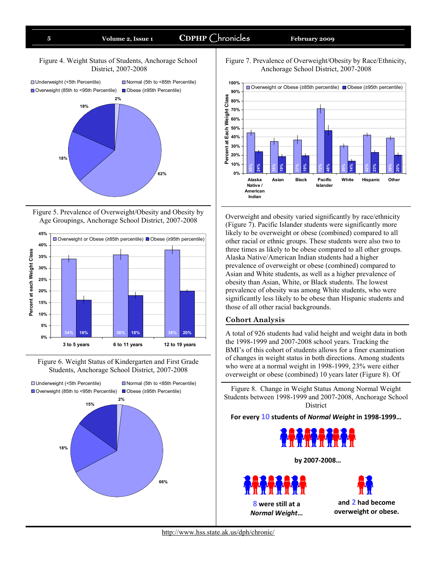#### Figure 4. Weight Status of Students, Anchorage School District, 2007-2008



Figure 5. Prevalence of Overweight/Obesity and Obesity by Age Groupings, Anchorage School District, 2007-2008



Figure 6. Weight Status of Kindergarten and First Grade Students, Anchorage School District, 2007-2008



Figure 7. Prevalence of Overweight/Obesity by Race/Ethnicity, Anchorage School District, 2007-2008



Overweight and obesity varied significantly by race/ethnicity (Figure 7). Pacific Islander students were significantly more likely to be overweight or obese (combined) compared to all other racial or ethnic groups. These students were also two to three times as likely to be obese compared to all other groups. Alaska Native/American Indian students had a higher prevalence of overweight or obese (combined) compared to Asian and White students, as well as a higher prevalence of obesity than Asian, White, or Black students. The lowest prevalence of obesity was among White students, who were significantly less likely to be obese than Hispanic students and those of all other racial backgrounds.

#### **Cohort Analysis**

A total of 926 students had valid height and weight data in both the 1998-1999 and 2007-2008 school years. Tracking the BMI's of this cohort of students allows for a finer examination of changes in weight status in both directions. Among students who were at a normal weight in 1998-1999, 23% were either overweight or obese (combined) 10 years later (Figure 8). Of

Figure 8. Change in Weight Status Among Normal Weight Students between 1998-1999 and 2007-2008, Anchorage School District

**For every 10 students of** *Normal Weight* **in 1998-1999…**



**by 2007-2008…**

**8 were still at a**  *Normal Weight***…**

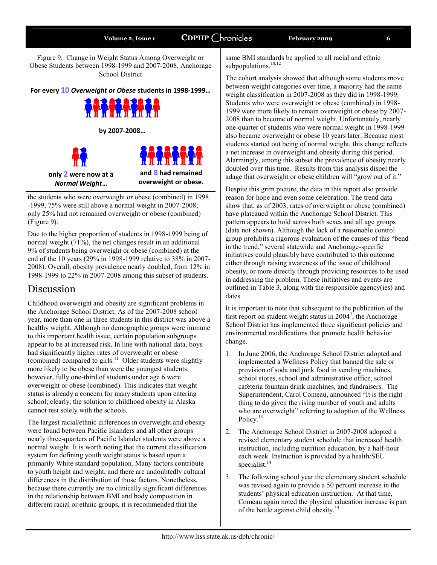Figure 9. Change in Weight Status Among Overweight or Obese Students between 1998-1999 and 2007-2008, Anchorage School District

**For every 10** *Overweight or Obese* **students in 1998-1999…**



the students who were overweight or obese (combined) in 1998 -1999, 75% were still above a normal weight in 2007-2008; only 25% had not remained overweight or obese (combined) (Figure 9).

Due to the higher proportion of students in 1998-1999 being of normal weight (71%), the net changes result in an additional 9% of students being overweight or obese (combined) at the end of the 10 years (29% in 1998-1999 relative to 38% in 2007- 2008). Overall, obesity prevalence nearly doubled, from 12% in 1998-1999 to 22% in 2007-2008 among this subset of students.

# Discussion

Childhood overweight and obesity are significant problems in the Anchorage School District. As of the 2007-2008 school year, more than one in three students in this district was above a healthy weight. Although no demographic groups were immune to this important health issue, certain population subgroups appear to be at increased risk. In line with national data, boys had significantly higher rates of overweight or obese (combined) compared to girls.<sup>11</sup> Older students were slightly more likely to be obese than were the youngest students; however, fully one-third of students under age 6 were overweight or obese (combined). This indicates that weight status is already a concern for many students upon entering school; clearly, the solution to childhood obesity in Alaska cannot rest solely with the schools.

The largest racial/ethnic differences in overweight and obesity were found between Pacific Islanders and all other groups nearly three-quarters of Pacific Islander students were above a normal weight. It is worth noting that the current classification system for defining youth weight status is based upon a primarily White standard population. Many factors contribute to youth height and weight, and there are undoubtedly cultural differences in the distribution of those factors. Nonetheless, because there currently are no clinically significant differences in the relationship between BMI and body composition in different racial or ethnic groups, it is recommended that the

same BMI standards be applied to all racial and ethnic subpopulations.<sup>10,12</sup>

The cohort analysis showed that although some students move between weight categories over time, a majority had the same weight classification in 2007-2008 as they did in 1998-1999. Students who were overweight or obese (combined) in 1998- 1999 were more likely to remain overweight or obese by 2007- 2008 than to become of normal weight. Unfortunately, nearly one-quarter of students who were normal weight in 1998-1999 also became overweight or obese 10 years later. Because most students started out being of normal weight, this change reflects a net increase in overweight and obesity during this period. Alarmingly, among this subset the prevalence of obesity nearly doubled over this time. Results from this analysis dispel the adage that overweight or obese children will "grow out of it."

Despite this grim picture, the data in this report also provide reason for hope and even some celebration. The trend data show that, as of 2003, rates of overweight or obese (combined) have plateaued within the Anchorage School District. This pattern appears to hold across both sexes and all age groups (data not shown). Although the lack of a reasonable control group prohibits a rigorous evaluation of the causes of this "bend in the trend," several statewide and Anchorage-specific initiatives could plausibly have contributed to this outcome either through raising awareness of the issue of childhood obesity, or more directly through providing resources to be used in addressing the problem. These initiatives and events are outlined in Table 3, along with the responsible agency(ies) and dates.

It is important to note that subsequent to the publication of the first report on student weight status in  $2004^7$ , the Anchorage School District has implemented three significant policies and environmental modifications that promote health behavior change.

- 1. In June 2006, the Anchorage School District adopted and implemented a Wellness Policy that banned the sale or provision of soda and junk food in vending machines, school stores, school and administrative office, school cafeteria fountain drink machines, and fundraisers. The Superintendent, Carol Comeau, announced "It is the right" thing to do given the rising number of youth and adults who are overweight" referring to adoption of the Wellness Policy.<sup>13</sup>
- 2. The Anchorage School District in 2007-2008 adopted a revised elementary student schedule that increased health instruction, including nutrition education, by a half-hour each week. Instruction is provided by a health/SEL specialist. $^{14}$
- 3. The following school year the elementary student schedule was revised again to provide a 50 percent increase in the students' physical education instruction. At that time, Comeau again noted the physical education increase is part of the battle against child obesity.<sup>15</sup>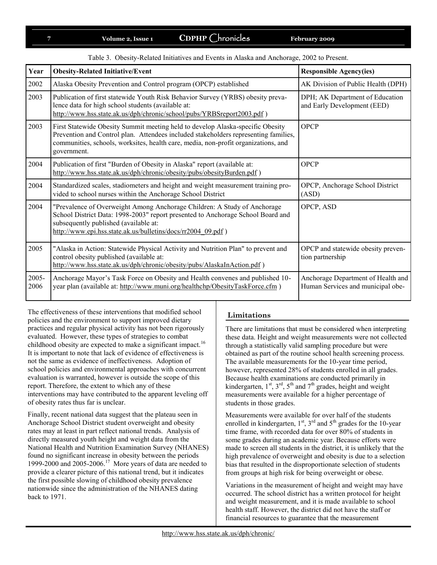|  | Table 3. Obesity-Related Initiatives and Events in Alaska and Anchorage, 2002 to Present. |  |  |  |  |  |
|--|-------------------------------------------------------------------------------------------|--|--|--|--|--|
|--|-------------------------------------------------------------------------------------------|--|--|--|--|--|

| Year          | <b>Obesity-Related Initiative/Event</b>                                                                                                                                                                                                                                    | <b>Responsible Agency(ies)</b>                                          |
|---------------|----------------------------------------------------------------------------------------------------------------------------------------------------------------------------------------------------------------------------------------------------------------------------|-------------------------------------------------------------------------|
| 2002          | Alaska Obesity Prevention and Control program (OPCP) established                                                                                                                                                                                                           | AK Division of Public Health (DPH)                                      |
| 2003          | Publication of first statewide Youth Risk Behavior Survey (YRBS) obesity preva-<br>lence data for high school students (available at:<br>http://www.hss.state.ak.us/dph/chronic/school/pubs/YRBSreport2003.pdf)                                                            | DPH; AK Department of Education<br>and Early Development (EED)          |
| 2003          | First Statewide Obesity Summit meeting held to develop Alaska-specific Obesity<br>Prevention and Control plan. Attendees included stakeholders representing families,<br>communities, schools, worksites, health care, media, non-profit organizations, and<br>government. | <b>OPCP</b>                                                             |
| 2004          | Publication of first "Burden of Obesity in Alaska" report (available at:<br>http://www.hss.state.ak.us/dph/chronic/obesity/pubs/obesityBurden.pdf)                                                                                                                         | <b>OPCP</b>                                                             |
| 2004          | Standardized scales, stadiometers and height and weight measurement training pro-<br>vided to school nurses within the Anchorage School District                                                                                                                           | OPCP, Anchorage School District<br>(ASD)                                |
| 2004          | "Prevalence of Overweight Among Anchorage Children: A Study of Anchorage<br>School District Data: 1998-2003" report presented to Anchorage School Board and<br>subsequently published (available at:<br>http://www.epi.hss.state.ak.us/bulletins/docs/rr2004_09.pdf)       | OPCP, ASD                                                               |
| 2005          | "Alaska in Action: Statewide Physical Activity and Nutrition Plan" to prevent and<br>control obesity published (available at:<br>http://www.hss.state.ak.us/dph/chronic/obesity/pubs/AlaskaInAction.pdf)                                                                   | OPCP and statewide obesity preven-<br>tion partnership                  |
| 2005-<br>2006 | Anchorage Mayor's Task Force on Obesity and Health convenes and published 10-<br>year plan (available at: http://www.muni.org/healthchp/ObesityTaskForce.cfm)                                                                                                              | Anchorage Department of Health and<br>Human Services and municipal obe- |

The effectiveness of these interventions that modified school policies and the environment to support improved dietary practices and regular physical activity has not been rigorously evaluated. However, these types of strategies to combat childhood obesity are expected to make a significant impact.<sup>16</sup> It is important to note that lack of evidence of effectiveness is not the same as evidence of ineffectiveness. Adoption of school policies and environmental approaches with concurrent evaluation is warranted, however is outside the scope of this report. Therefore, the extent to which any of these interventions may have contributed to the apparent leveling off of obesity rates thus far is unclear.

Finally, recent national data suggest that the plateau seen in Anchorage School District student overweight and obesity rates may at least in part reflect national trends. Analysis of directly measured youth height and weight data from the National Health and Nutrition Examination Survey (NHANES) found no significant increase in obesity between the periods 1999-2000 and 2005-2006.<sup>17</sup> More years of data are needed to provide a clearer picture of this national trend, but it indicates the first possible slowing of childhood obesity prevalence nationwide since the administration of the NHANES dating back to 1971.

#### **Limitations**

There are limitations that must be considered when interpreting these data. Height and weight measurements were not collected through a statistically valid sampling procedure but were obtained as part of the routine school health screening process. The available measurements for the 10-year time period, however, represented 28% of students enrolled in all grades. Because health examinations are conducted primarily in kindergarten,  $1^{st}$ ,  $3^{rd}$ ,  $5^{th}$  and  $7^{th}$  grades, height and weight measurements were available for a higher percentage of students in those grades.

Measurements were available for over half of the students enrolled in kindergarten,  $1<sup>st</sup>$ ,  $3<sup>rd</sup>$  and  $5<sup>th</sup>$  grades for the 10-year time frame, with recorded data for over 80% of students in some grades during an academic year. Because efforts were made to screen all students in the district, it is unlikely that the high prevalence of overweight and obesity is due to a selection bias that resulted in the disproportionate selection of students from groups at high risk for being overweight or obese.

Variations in the measurement of height and weight may have occurred. The school district has a written protocol for height and weight measurement, and it is made available to school health staff. However, the district did not have the staff or financial resources to guarantee that the measurement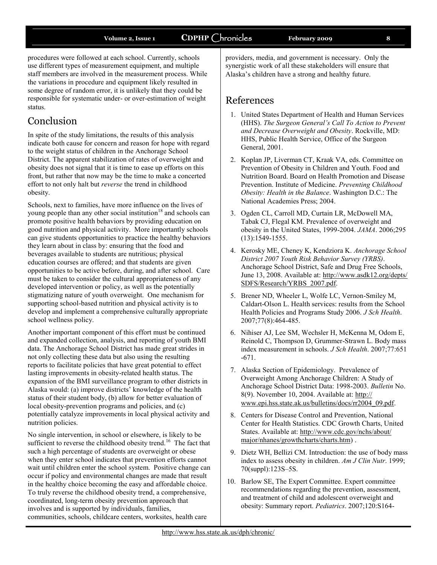procedures were followed at each school. Currently, schools use different types of measurement equipment, and multiple staff members are involved in the measurement process. While the variations in procedure and equipment likely resulted in some degree of random error, it is unlikely that they could be responsible for systematic under- or over-estimation of weight status.

# Conclusion

In spite of the study limitations, the results of this analysis indicate both cause for concern and reason for hope with regard to the weight status of children in the Anchorage School District. The apparent stabilization of rates of overweight and obesity does not signal that it is time to ease up efforts on this front, but rather that now may be the time to make a concerted effort to not only halt but *reverse* the trend in childhood obesity.

Schools, next to families, have more influence on the lives of young people than any other social institution<sup>18</sup> and schools can promote positive health behaviors by providing education on good nutrition and physical activity. More importantly schools can give students opportunities to practice the healthy behaviors they learn about in class by: ensuring that the food and beverages available to students are nutritious; physical education courses are offered; and that students are given opportunities to be active before, during, and after school. Care must be taken to consider the cultural appropriateness of any developed intervention or policy, as well as the potentially stigmatizing nature of youth overweight. One mechanism for supporting school-based nutrition and physical activity is to develop and implement a comprehensive culturally appropriate school wellness policy.

Another important component of this effort must be continued and expanded collection, analysis, and reporting of youth BMI data. The Anchorage School District has made great strides in not only collecting these data but also using the resulting reports to facilitate policies that have great potential to effect lasting improvements in obesity-related health status. The expansion of the BMI surveillance program to other districts in Alaska would: (a) improve districts' knowledge of the health status of their student body, (b) allow for better evaluation of local obesity-prevention programs and policies, and (c) potentially catalyze improvements in local physical activity and nutrition policies.

No single intervention, in school or elsewhere, is likely to be sufficient to reverse the childhood obesity trend.<sup>16</sup> The fact that such a high percentage of students are overweight or obese when they enter school indicates that prevention efforts cannot wait until children enter the school system. Positive change can occur if policy and environmental changes are made that result in the healthy choice becoming the easy and affordable choice. To truly reverse the childhood obesity trend, a comprehensive, coordinated, long-term obesity prevention approach that involves and is supported by individuals, families, communities, schools, childcare centers, worksites, health care

providers, media, and government is necessary. Only the synergistic work of all these stakeholders will ensure that Alaska's children have a strong and healthy future.

# References

- 1. United States Department of Health and Human Services (HHS). *The Surgeon General's Call To Action to Prevent and Decrease Overweight and Obesity*. Rockville, MD: HHS, Public Health Service, Office of the Surgeon General, 2001.
- 2. Koplan JP, Liverman CT, Kraak VA, eds. Committee on Prevention of Obesity in Children and Youth. Food and Nutrition Board. Board on Health Promotion and Disease Prevention. Institute of Medicine. *Preventing Childhood Obesity: Health in the Balance*. Washington D.C.: The National Academies Press; 2004.
- 3. Ogden CL, Carroll MD, Curtain LR, McDowell MA, Tabak CJ, Flegal KM. Prevalence of overweight and obesity in the United States, 1999-2004. *JAMA*. 2006;295 (13):1549-1555.
- 4. Kerosky ME, Cheney K, Kendziora K. *Anchorage School District 2007 Youth Risk Behavior Survey (YRBS)*. Anchorage School District, Safe and Drug Free Schools, June 13, 2008. Available at: [http://www.asdk12.org/depts/](http://www.asdk12.org/depts/SDFS/Research/YRBS_2007.pdf) [SDFS/Research/YRBS\\_2007.pdf.](http://www.asdk12.org/depts/SDFS/Research/YRBS_2007.pdf)
- 5. Brener ND, Wheeler L, Wolfe LC, Vernon-Smiley M, Caldart-Olson L. Health services: results from the School Health Policies and Programs Study 2006. *J Sch Health*. 2007;77(8):464-485.
- 6. Nihiser AJ, Lee SM, Wechsler H, McKenna M, Odom E, Reinold C, Thompson D, Grummer-Strawn L. Body mass index measurement in schools. *J Sch Health*. 2007;77:651 -671.
- 7. Alaska Section of Epidemiology. Prevalence of Overweight Among Anchorage Children: A Study of Anchorage School District Data: 1998-2003. *Bulletin* No. 8(9). November 10, 2004. Available at: [http://](http://www.epi.hss.state.ak.us/bulletins/docs/rr2004_09.pdf) [www.epi.hss.state.ak.us/bulletins/docs/rr2004\\_09.pdf.](http://www.epi.hss.state.ak.us/bulletins/docs/rr2004_09.pdf)
- 8. Centers for Disease Control and Prevention, National Center for Health Statistics. CDC Growth Charts, United States. Available at: [http://www.cdc.gov/nchs/about/](http://www.cdc.gov/nchs/about/major/nhanes/growthcharts/charts.htm) [major/nhanes/growthcharts/charts.htm\)](http://www.cdc.gov/nchs/about/major/nhanes/growthcharts/charts.htm) .
- 9. Dietz WH, Bellizi CM. Introduction: the use of body mass index to assess obesity in children. *Am J Clin Nutr*. 1999; 70(suppl):123S–5S.
- 10. Barlow SE, The Expert Committee. Expert committee recommendations regarding the prevention, assessment, and treatment of child and adolescent overweight and obesity: Summary report. *Pediatrics*. 2007;120:S164-